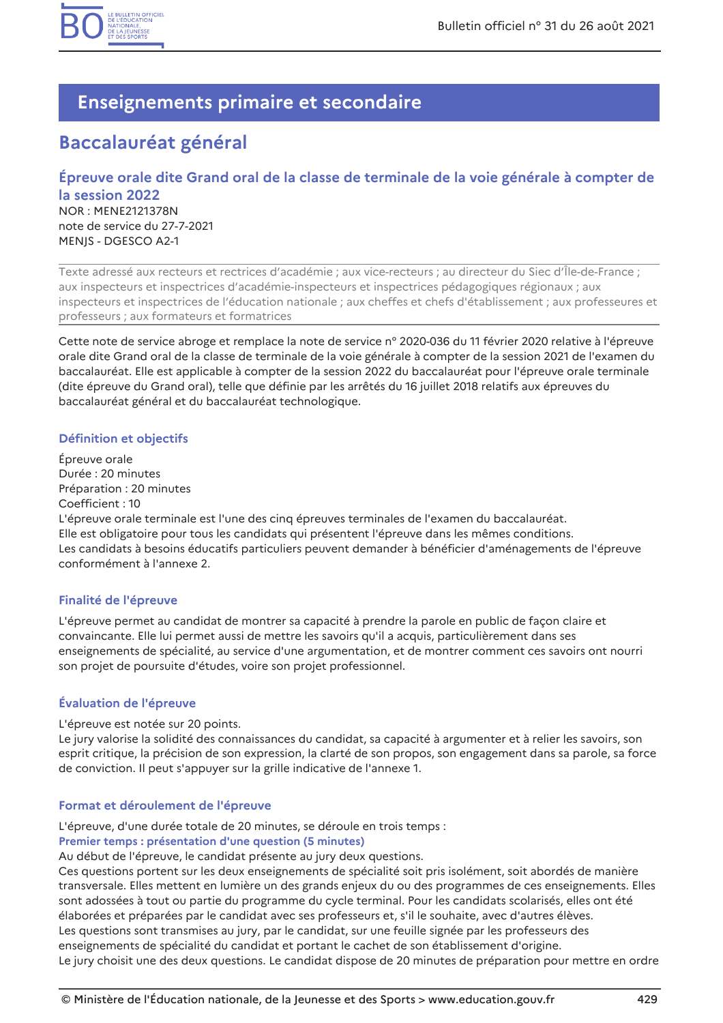

## **Enseignements primaire et secondaire**

# **Baccalauréat général**

## Épreuve orale dite Grand oral de la classe de terminale de la voie générale à compter de la session 2022 **NOR: MENE2121378N** note de service du 27-7-2021 MENJS - DGESCO A2-1

Texte adressé aux recteurs et rectrices d'académie ; aux vice-recteurs ; au directeur du Siec d'Île-de-France ; aux inspecteurs et inspectrices d'académie-inspecteurs et inspectrices pédagogiques régionaux ; aux inspecteurs et inspectrices de l'éducation nationale ; aux cheffes et chefs d'établissement ; aux professeures et professeurs ; aux formateurs et formatrices

Cette note de service abroge et remplace la note de service nº 2020-036 du 11 février 2020 relative à l'épreuve orale dite Grand oral de la classe de terminale de la voie générale à compter de la session 2021 de l'examen du baccalauréat. Elle est applicable à compter de la session 2022 du baccalauréat pour l'épreuve orale terminale (dite épreuve du Grand oral), telle que définie par les arrêtés du 16 juillet 2018 relatifs aux épreuves du baccalauréat général et du baccalauréat technologique.

## Définition et objectifs

Épreuve orale Durée : 20 minutes Préparation : 20 minutes Coefficient: 10 L'épreuve orale terminale est l'une des cinq épreuves terminales de l'examen du baccalauréat. Elle est obligatoire pour tous les candidats qui présentent l'épreuve dans les mêmes conditions. Les candidats à besoins éducatifs particuliers peuvent demander à bénéficier d'aménagements de l'épreuve conformément à l'annexe 2.

## Finalité de l'épreuve

L'épreuve permet au candidat de montrer sa capacité à prendre la parole en public de façon claire et convaincante. Elle lui permet aussi de mettre les savoirs qu'il a acquis, particulièrement dans ses enseignements de spécialité, au service d'une argumentation, et de montrer comment ces savoirs ont nourri son projet de poursuite d'études, voire son projet professionnel.

## Évaluation de l'épreuve

### L'épreuve est notée sur 20 points.

Le jury valorise la solidité des connaissances du candidat, sa capacité à argumenter et à relier les savoirs, son esprit critique, la précision de son expression, la clarté de son propos, son engagement dans sa parole, sa force de conviction. Il peut s'appuyer sur la grille indicative de l'annexe 1.

## Format et déroulement de l'épreuve

L'épreuve, d'une durée totale de 20 minutes, se déroule en trois temps :

### Premier temps : présentation d'une question (5 minutes)

Au début de l'épreuve, le candidat présente au jury deux questions.

Ces questions portent sur les deux enseignements de spécialité soit pris isolément, soit abordés de manière transversale. Elles mettent en lumière un des grands enjeux du ou des programmes de ces enseignements. Elles sont adossées à tout ou partie du programme du cycle terminal. Pour les candidats scolarisés, elles ont été élaborées et préparées par le candidat avec ses professeurs et, s'il le souhaite, avec d'autres élèves. Les questions sont transmises au jury, par le candidat, sur une feuille signée par les professeurs des enseignements de spécialité du candidat et portant le cachet de son établissement d'origine.

Le jury choisit une des deux questions. Le candidat dispose de 20 minutes de préparation pour mettre en ordre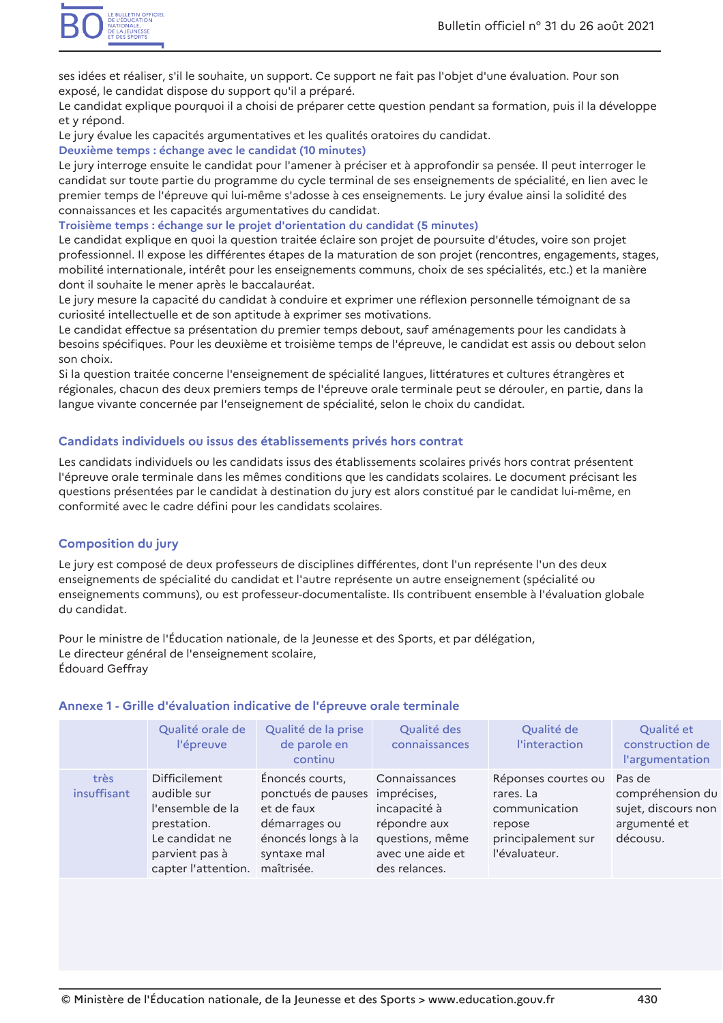ses idées et réaliser, s'il le souhaite, un support. Ce support ne fait pas l'objet d'une évaluation. Pour son exposé, le candidat dispose du support qu'il a préparé.

Le candidat explique pourquoi il a choisi de préparer cette question pendant sa formation, puis il la développe et y répond.

Le jury évalue les capacités argumentatives et les qualités oratoires du candidat.

### Deuxième temps : échange avec le candidat (10 minutes)

Le jury interroge ensuite le candidat pour l'amener à préciser et à approfondir sa pensée. Il peut interroger le candidat sur toute partie du programme du cycle terminal de ses enseignements de spécialité, en lien avec le premier temps de l'épreuve qui lui-même s'adosse à ces enseignements. Le jury évalue ainsi la solidité des connaissances et les capacités argumentatives du candidat.

### Troisième temps : échange sur le projet d'orientation du candidat (5 minutes)

Le candidat explique en quoi la question traitée éclaire son projet de poursuite d'études, voire son projet professionnel. Il expose les différentes étapes de la maturation de son projet (rencontres, engagements, stages, mobilité internationale, intérêt pour les enseignements communs, choix de ses spécialités, etc.) et la manière dont il souhaite le mener après le baccalauréat.

Le jury mesure la capacité du candidat à conduire et exprimer une réflexion personnelle témoignant de sa curiosité intellectuelle et de son aptitude à exprimer ses motivations.

Le candidat effectue sa présentation du premier temps debout, sauf aménagements pour les candidats à besoins spécifiques. Pour les deuxième et troisième temps de l'épreuve, le candidat est assis ou debout selon son choix.

Si la question traitée concerne l'enseignement de spécialité langues, littératures et cultures étrangères et régionales, chacun des deux premiers temps de l'épreuve orale terminale peut se dérouler, en partie, dans la langue vivante concernée par l'enseignement de spécialité, selon le choix du candidat.

## Candidats individuels ou issus des établissements privés hors contrat

Les candidats individuels ou les candidats issus des établissements scolaires privés hors contrat présentent l'épreuve orale terminale dans les mêmes conditions que les candidats scolaires. Le document précisant les questions présentées par le candidat à destination du jury est alors constitué par le candidat lui-même, en conformité avec le cadre défini pour les candidats scolaires.

## **Composition du jury**

Le jury est composé de deux professeurs de disciplines différentes, dont l'un représente l'un des deux enseignements de spécialité du candidat et l'autre représente un autre enseignement (spécialité ou enseignements communs), ou est professeur-documentaliste. Ils contribuent ensemble à l'évaluation globale du candidat.

Pour le ministre de l'Éducation nationale, de la Jeunesse et des Sports, et par délégation, Le directeur général de l'enseignement scolaire, Édouard Geffray

|                     | Qualité orale de<br>l'épreuve                                                                                                     | Qualité de la prise<br>de parole en<br>continu                                                                                      | Qualité des<br>connaissances                                                                          | Qualité de<br>l'interaction                                                                        | Qualité et<br>construction de<br>l'argumentation                              |
|---------------------|-----------------------------------------------------------------------------------------------------------------------------------|-------------------------------------------------------------------------------------------------------------------------------------|-------------------------------------------------------------------------------------------------------|----------------------------------------------------------------------------------------------------|-------------------------------------------------------------------------------|
| très<br>insuffisant | <b>Difficilement</b><br>audible sur<br>l'ensemble de la<br>prestation.<br>Le candidat ne<br>parvient pas à<br>capter l'attention. | Énoncés courts,<br>ponctués de pauses imprécises,<br>et de faux<br>démarrages ou<br>énoncés longs à la<br>syntaxe mal<br>maîtrisée. | Connaissances<br>incapacité à<br>répondre aux<br>questions, même<br>avec une aide et<br>des relances. | Réponses courtes ou<br>rares. La<br>communication<br>repose<br>principalement sur<br>l'évaluateur. | Pas de<br>compréhension du<br>sujet, discours non<br>argumenté et<br>décousu. |

### Annexe 1 - Grille d'évaluation indicative de l'épreuve orale terminale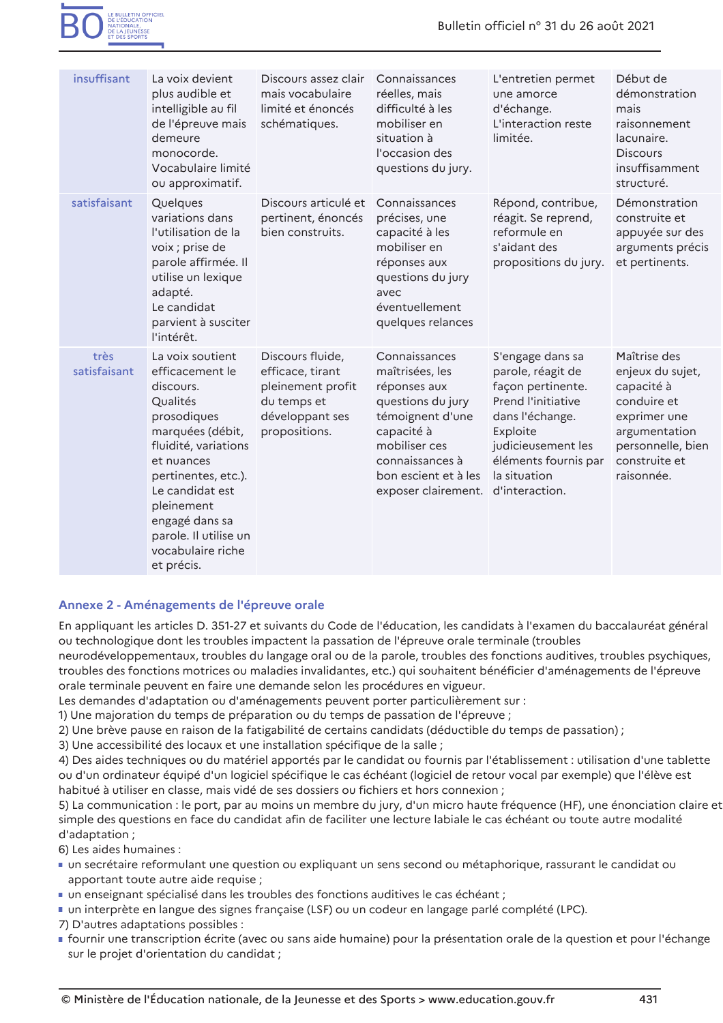

| insuffisant          | La voix devient<br>plus audible et<br>intelligible au fil<br>de l'épreuve mais<br>demeure<br>monocorde.<br>Vocabulaire limité<br>ou approximatif.                                                                                                                           | Discours assez clair<br>mais vocabulaire<br>limité et énoncés<br>schématiques.                               | Connaissances<br>réelles, mais<br>difficulté à les<br>mobiliser en<br>situation à<br>l'occasion des<br>questions du jury.                                                                  | L'entretien permet<br>une amorce<br>d'échange.<br>L'interaction reste<br>limitée.                                                                                                                      | Début de<br>démonstration<br>mais<br>raisonnement<br>lacunaire.<br><b>Discours</b><br>insuffisamment<br>structuré.                                 |
|----------------------|-----------------------------------------------------------------------------------------------------------------------------------------------------------------------------------------------------------------------------------------------------------------------------|--------------------------------------------------------------------------------------------------------------|--------------------------------------------------------------------------------------------------------------------------------------------------------------------------------------------|--------------------------------------------------------------------------------------------------------------------------------------------------------------------------------------------------------|----------------------------------------------------------------------------------------------------------------------------------------------------|
| satisfaisant         | Quelques<br>variations dans<br>l'utilisation de la<br>voix ; prise de<br>parole affirmée. Il<br>utilise un lexique<br>adapté.<br>Le candidat<br>parvient à susciter<br>l'intérêt.                                                                                           | Discours articulé et<br>pertinent, énoncés<br>bien construits.                                               | Connaissances<br>précises, une<br>capacité à les<br>mobiliser en<br>réponses aux<br>questions du jury<br>avec<br>éventuellement<br>quelques relances                                       | Répond, contribue,<br>réagit. Se reprend,<br>reformule en<br>s'aidant des<br>propositions du jury.                                                                                                     | Démonstration<br>construite et<br>appuyée sur des<br>arguments précis<br>et pertinents.                                                            |
| très<br>satisfaisant | La voix soutient<br>efficacement le<br>discours.<br>Qualités<br>prosodiques<br>marquées (débit,<br>fluidité, variations<br>et nuances<br>pertinentes, etc.).<br>Le candidat est<br>pleinement<br>engagé dans sa<br>parole. Il utilise un<br>vocabulaire riche<br>et précis. | Discours fluide,<br>efficace, tirant<br>pleinement profit<br>du temps et<br>développant ses<br>propositions. | Connaissances<br>maîtrisées, les<br>réponses aux<br>questions du jury<br>témoignent d'une<br>capacité à<br>mobiliser ces<br>connaissances à<br>bon escient et à les<br>exposer clairement. | S'engage dans sa<br>parole, réagit de<br>façon pertinente.<br><b>Prend l'initiative</b><br>dans l'échange.<br>Exploite<br>judicieusement les<br>éléments fournis par<br>la situation<br>d'interaction. | Maîtrise des<br>enjeux du sujet,<br>capacité à<br>conduire et<br>exprimer une<br>argumentation<br>personnelle, bier<br>construite et<br>raisonnée. |

### Annexe 2 - Aménagements de l'épreuve orale

En appliquant les articles D. 351-27 et suivants du Code de l'éducation, les candidats à l'examen du baccalauréat général ou technologique dont les troubles impactent la passation de l'épreuve orale terminale (troubles

neurodéveloppementaux, troubles du langage oral ou de la parole, troubles des fonctions auditives, troubles psychiques, troubles des fonctions motrices ou maladies invalidantes, etc.) qui souhaitent bénéficier d'aménagements de l'épreuve orale terminale peuvent en faire une demande selon les procédures en vigueur.

Les demandes d'adaptation ou d'aménagements peuvent porter particulièrement sur :

1) Une majoration du temps de préparation ou du temps de passation de l'épreuve ;

2) Une brève pause en raison de la fatigabilité de certains candidats (déductible du temps de passation) ;

3) Une accessibilité des locaux et une installation spécifique de la salle ;

4) Des aides techniques ou du matériel apportés par le candidat ou fournis par l'établissement : utilisation d'une tablette ou d'un ordinateur équipé d'un logiciel spécifique le cas échéant (logiciel de retour vocal par exemple) que l'élève est habitué à utiliser en classe, mais vidé de ses dossiers ou fichiers et hors connexion ;

5) La communication : le port, par au moins un membre du jury, d'un micro haute fréquence (HF), une énonciation claire et simple des questions en face du candidat afin de faciliter une lecture labiale le cas échéant ou toute autre modalité d'adaptation;

6) Les aides humaines :

- " un secrétaire reformulant une question ou expliquant un sens second ou métaphorique, rassurant le candidat ou apportant toute autre aide requise ;
- · un enseignant spécialisé dans les troubles des fonctions auditives le cas échéant ;
- un interprète en langue des signes française (LSF) ou un codeur en langage parlé complété (LPC).

7) D'autres adaptations possibles :

• fournir une transcription écrite (avec ou sans aide humaine) pour la présentation orale de la question et pour l'échange sur le projet d'orientation du candidat ;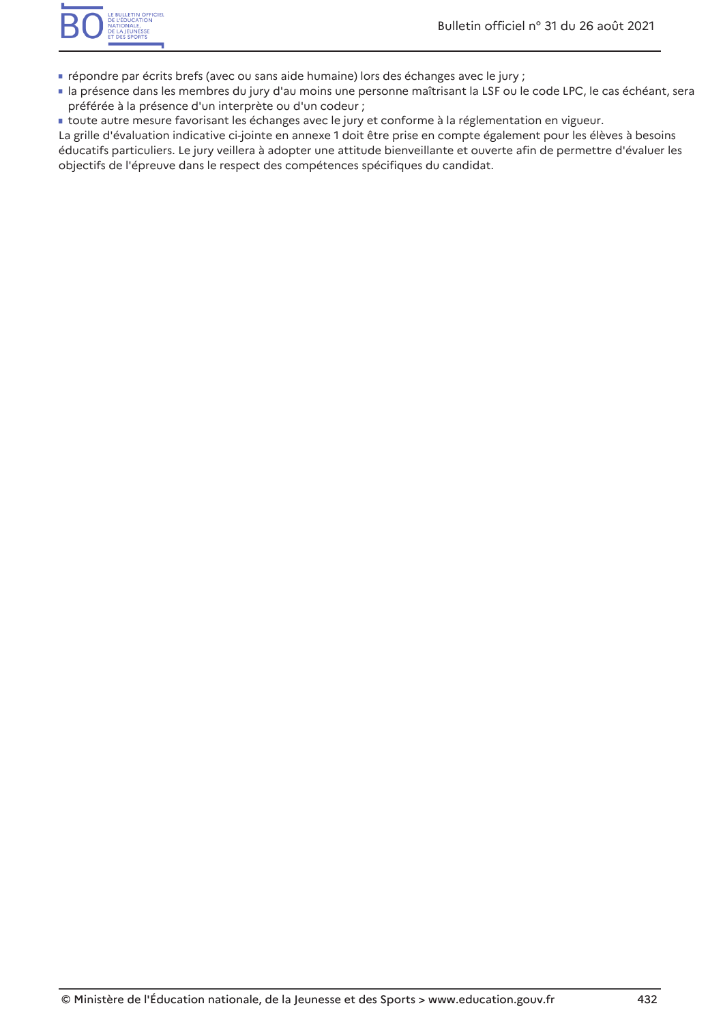- " répondre par écrits brefs (avec ou sans aide humaine) lors des échanges avec le jury ;
- la présence dans les membres du jury d'au moins une personne maîtrisant la LSF ou le code LPC, le cas échéant, sera préférée à la présence d'un interprète ou d'un codeur ;
- toute autre mesure favorisant les échanges avec le jury et conforme à la réglementation en vigueur.

La grille d'évaluation indicative ci-jointe en annexe 1 doit être prise en compte également pour les élèves à besoins éducatifs particuliers. Le jury veillera à adopter une attitude bienveillante et ouverte afin de permettre d'évaluer les objectifs de l'épreuve dans le respect des compétences spécifiques du candidat.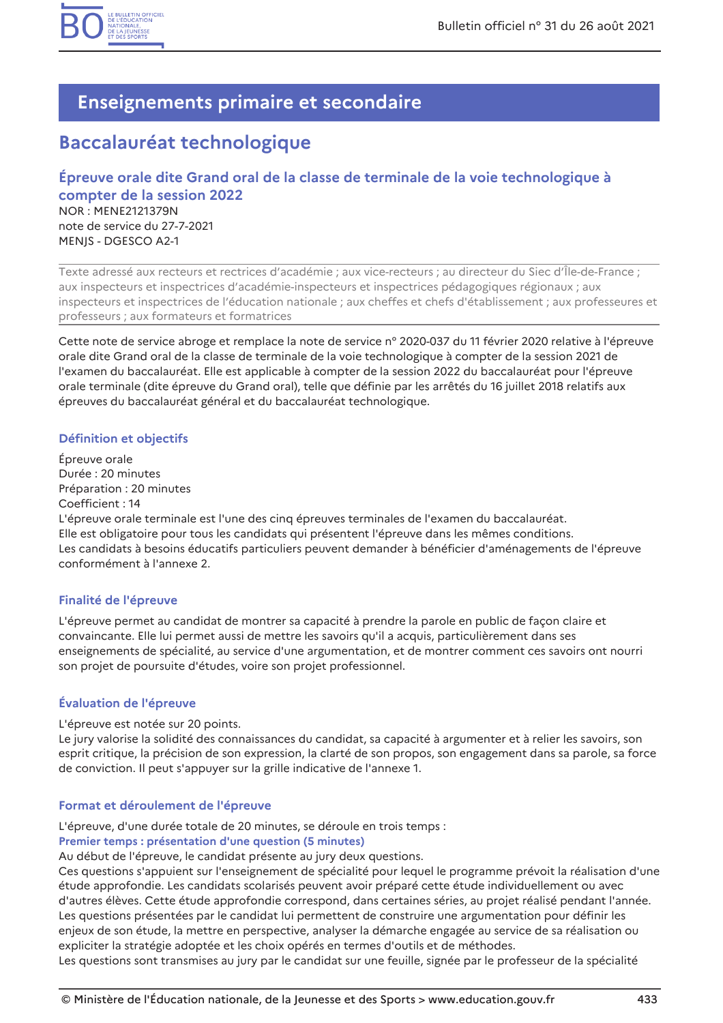

## **Enseignements primaire et secondaire**

## **Baccalauréat technologique**

## Épreuve orale dite Grand oral de la classe de terminale de la voie technologique à compter de la session 2022 NOR: MENE2121379N note de service du 27-7-2021 MENIS - DGESCO A2-1

Texte adressé aux recteurs et rectrices d'académie ; aux vice-recteurs ; au directeur du Siec d'Île-de-France ; aux inspecteurs et inspectrices d'académie-inspecteurs et inspectrices pédagogiques régionaux ; aux inspecteurs et inspectrices de l'éducation nationale ; aux cheffes et chefs d'établissement ; aux professeures et professeurs ; aux formateurs et formatrices

Cette note de service abroge et remplace la note de service nº 2020-037 du 11 février 2020 relative à l'épreuve orale dite Grand oral de la classe de terminale de la voie technologique à compter de la session 2021 de l'examen du baccalauréat. Elle est applicable à compter de la session 2022 du baccalauréat pour l'épreuve orale terminale (dite épreuve du Grand oral), telle que définie par les arrêtés du 16 juillet 2018 relatifs aux épreuves du baccalauréat général et du baccalauréat technologique.

## Définition et objectifs

Épreuve orale Durée : 20 minutes Préparation : 20 minutes Coefficient: 14 L'épreuve orale terminale est l'une des cinq épreuves terminales de l'examen du baccalauréat. Elle est obligatoire pour tous les candidats qui présentent l'épreuve dans les mêmes conditions. Les candidats à besoins éducatifs particuliers peuvent demander à bénéficier d'aménagements de l'épreuve conformément à l'annexe 2.

### Finalité de l'épreuve

L'épreuve permet au candidat de montrer sa capacité à prendre la parole en public de façon claire et convaincante. Elle lui permet aussi de mettre les savoirs qu'il a acquis, particulièrement dans ses enseignements de spécialité, au service d'une argumentation, et de montrer comment ces savoirs ont nourri son projet de poursuite d'études, voire son projet professionnel.

## Évaluation de l'épreuve

### L'épreuve est notée sur 20 points.

Le jury valorise la solidité des connaissances du candidat, sa capacité à argumenter et à relier les savoirs, son esprit critique, la précision de son expression, la clarté de son propos, son engagement dans sa parole, sa force de conviction. Il peut s'appuyer sur la grille indicative de l'annexe 1.

### Format et déroulement de l'épreuve

L'épreuve, d'une durée totale de 20 minutes, se déroule en trois temps :

### Premier temps : présentation d'une question (5 minutes)

Au début de l'épreuve, le candidat présente au jury deux questions.

Ces questions s'appuient sur l'enseignement de spécialité pour lequel le programme prévoit la réalisation d'une étude approfondie. Les candidats scolarisés peuvent avoir préparé cette étude individuellement ou avec d'autres élèves. Cette étude approfondie correspond, dans certaines séries, au projet réalisé pendant l'année. Les questions présentées par le candidat lui permettent de construire une argumentation pour définir les enjeux de son étude, la mettre en perspective, analyser la démarche engagée au service de sa réalisation ou expliciter la stratégie adoptée et les choix opérés en termes d'outils et de méthodes.

Les questions sont transmises au jury par le candidat sur une feuille, signée par le professeur de la spécialité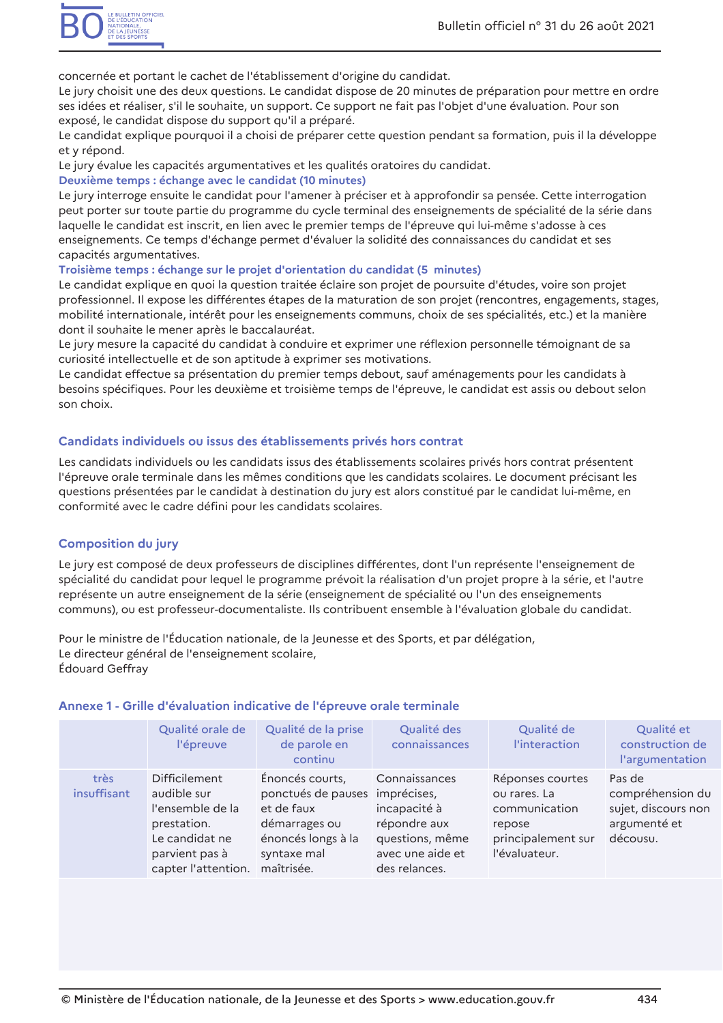concernée et portant le cachet de l'établissement d'origine du candidat.

Le jury choisit une des deux questions. Le candidat dispose de 20 minutes de préparation pour mettre en ordre ses idées et réaliser, s'il le souhaite, un support. Ce support ne fait pas l'objet d'une évaluation. Pour son exposé, le candidat dispose du support qu'il a préparé.

Le candidat explique pourquoi il a choisi de préparer cette question pendant sa formation, puis il la développe et y répond.

Le jury évalue les capacités argumentatives et les qualités oratoires du candidat.

### Deuxième temps : échange avec le candidat (10 minutes)

Le jury interroge ensuite le candidat pour l'amener à préciser et à approfondir sa pensée. Cette interrogation peut porter sur toute partie du programme du cycle terminal des enseignements de spécialité de la série dans laquelle le candidat est inscrit, en lien avec le premier temps de l'épreuve qui lui-même s'adosse à ces enseignements. Ce temps d'échange permet d'évaluer la solidité des connaissances du candidat et ses capacités argumentatives.

### Troisième temps : échange sur le projet d'orientation du candidat (5 minutes)

Le candidat explique en quoi la question traitée éclaire son projet de poursuite d'études, voire son projet professionnel. Il expose les différentes étapes de la maturation de son projet (rencontres, engagements, stages, mobilité internationale, intérêt pour les enseignements communs, choix de ses spécialités, etc.) et la manière dont il souhaite le mener après le baccalauréat.

Le jury mesure la capacité du candidat à conduire et exprimer une réflexion personnelle témoignant de sa curiosité intellectuelle et de son aptitude à exprimer ses motivations.

Le candidat effectue sa présentation du premier temps debout, sauf aménagements pour les candidats à besoins spécifiques. Pour les deuxième et troisième temps de l'épreuve, le candidat est assis ou debout selon son choix

## Candidats individuels ou issus des établissements privés hors contrat

Les candidats individuels ou les candidats issus des établissements scolaires privés hors contrat présentent l'épreuve orale terminale dans les mêmes conditions que les candidats scolaires. Le document précisant les questions présentées par le candidat à destination du jury est alors constitué par le candidat lui-même, en conformité avec le cadre défini pour les candidats scolaires.

## **Composition du jury**

Le jury est composé de deux professeurs de disciplines différentes, dont l'un représente l'enseignement de spécialité du candidat pour lequel le programme prévoit la réalisation d'un proiet propre à la série, et l'autre représente un autre enseignement de la série (enseignement de spécialité ou l'un des enseignements communs), ou est professeur-documentaliste. Ils contribuent ensemble à l'évaluation globale du candidat.

Pour le ministre de l'Éducation nationale, de la Jeunesse et des Sports, et par délégation, Le directeur général de l'enseignement scolaire, Édouard Geffray

### Annexe 1 - Grille d'évaluation indicative de l'épreuve orale terminale

|                     | Qualité orale de<br>l'épreuve                                                                                                     | Qualité de la prise<br>de parole en<br>continu                                                                                      | Qualité des<br>connaissances                                                                          | Qualité de<br>l'interaction                                                                        | Qualité et<br>construction de<br>l'argumentation                              |
|---------------------|-----------------------------------------------------------------------------------------------------------------------------------|-------------------------------------------------------------------------------------------------------------------------------------|-------------------------------------------------------------------------------------------------------|----------------------------------------------------------------------------------------------------|-------------------------------------------------------------------------------|
| très<br>insuffisant | <b>Difficilement</b><br>audible sur<br>l'ensemble de la<br>prestation.<br>Le candidat ne<br>parvient pas à<br>capter l'attention. | Énoncés courts,<br>ponctués de pauses imprécises,<br>et de faux<br>démarrages ou<br>énoncés longs à la<br>syntaxe mal<br>maîtrisée. | Connaissances<br>incapacité à<br>répondre aux<br>questions, même<br>avec une aide et<br>des relances. | Réponses courtes<br>ou rares. La<br>communication<br>repose<br>principalement sur<br>l'évaluateur. | Pas de<br>compréhension du<br>sujet, discours non<br>argumenté et<br>décousu. |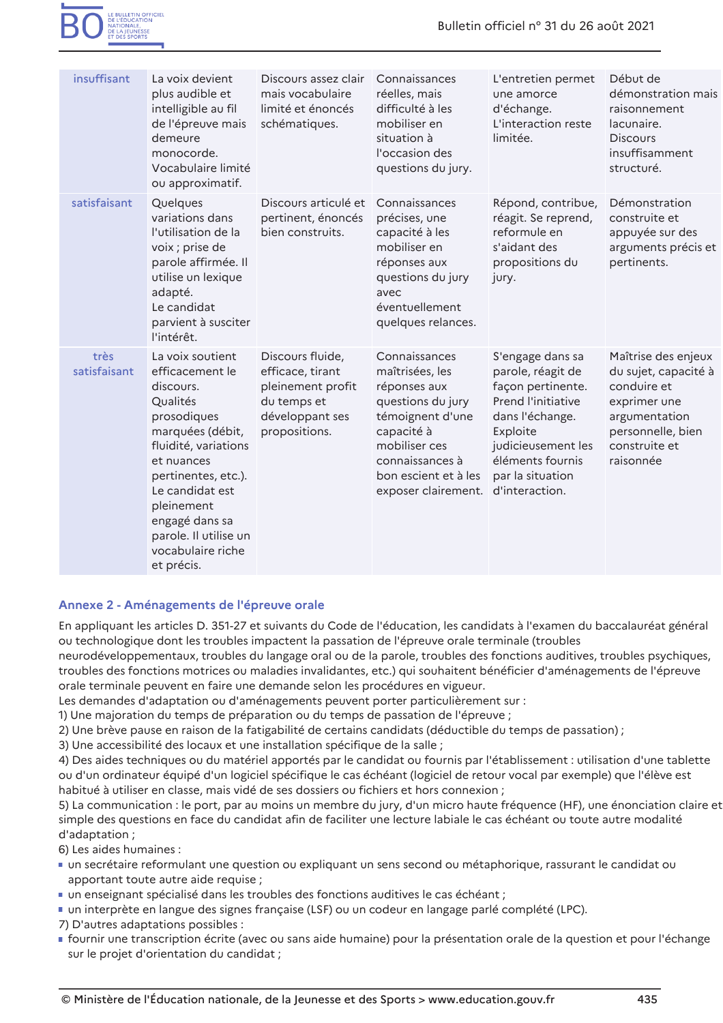| insuffisant          | La voix devient<br>plus audible et<br>intelligible au fil<br>de l'épreuve mais<br>demeure<br>monocorde.                                                                                                                                                                     | Discours assez clair<br>mais vocabulaire<br>limité et énoncés<br>schématiques.                               | Connaissances<br>réelles, mais<br>difficulté à les<br>mobiliser en<br>situation à<br>l'occasion des                                                                                                       | L'entretien permet<br>une amorce<br>d'échange.<br>L'interaction reste<br>limitée.                                                                                                    | Début de<br>démonstration mais<br>raisonnement<br>lacunaire.<br><b>Discours</b><br>insuffisamment                                              |
|----------------------|-----------------------------------------------------------------------------------------------------------------------------------------------------------------------------------------------------------------------------------------------------------------------------|--------------------------------------------------------------------------------------------------------------|-----------------------------------------------------------------------------------------------------------------------------------------------------------------------------------------------------------|--------------------------------------------------------------------------------------------------------------------------------------------------------------------------------------|------------------------------------------------------------------------------------------------------------------------------------------------|
|                      | Vocabulaire limité<br>ou approximatif.                                                                                                                                                                                                                                      |                                                                                                              | questions du jury.                                                                                                                                                                                        |                                                                                                                                                                                      | structuré.                                                                                                                                     |
| satisfaisant         | Quelques<br>variations dans<br>l'utilisation de la<br>voix ; prise de<br>parole affirmée. Il<br>utilise un lexique<br>adapté.<br>Le candidat<br>parvient à susciter<br>l'intérêt.                                                                                           | Discours articulé et<br>pertinent, énoncés<br>bien construits.                                               | Connaissances<br>précises, une<br>capacité à les<br>mobiliser en<br>réponses aux<br>questions du jury<br>avec<br>éventuellement<br>quelques relances.                                                     | Répond, contribue,<br>réagit. Se reprend,<br>reformule en<br>s'aidant des<br>propositions du<br>jury.                                                                                | Démonstration<br>construite et<br>appuyée sur des<br>arguments précis et<br>pertinents.                                                        |
| très<br>satisfaisant | La voix soutient<br>efficacement le<br>discours.<br>Qualités<br>prosodiques<br>marquées (débit,<br>fluidité, variations<br>et nuances<br>pertinentes, etc.).<br>Le candidat est<br>pleinement<br>engagé dans sa<br>parole. Il utilise un<br>vocabulaire riche<br>et précis. | Discours fluide,<br>efficace, tirant<br>pleinement profit<br>du temps et<br>développant ses<br>propositions. | Connaissances<br>maîtrisées, les<br>réponses aux<br>questions du jury<br>témoignent d'une<br>capacité à<br>mobiliser ces<br>connaissances à<br>bon escient et à les<br>exposer clairement. d'interaction. | S'engage dans sa<br>parole, réagit de<br>façon pertinente.<br><b>Prend l'initiative</b><br>dans l'échange.<br>Exploite<br>judicieusement les<br>éléments fournis<br>par la situation | Maîtrise des enjeux<br>du sujet, capacité à<br>conduire et<br>exprimer une<br>argumentation<br>personnelle, bien<br>construite et<br>raisonnée |

## Annexe 2 - Aménagements de l'épreuve orale

En appliquant les articles D. 351-27 et suivants du Code de l'éducation, les candidats à l'examen du baccalauréat général ou technologique dont les troubles impactent la passation de l'épreuve orale terminale (troubles

neurodéveloppementaux, troubles du langage oral ou de la parole, troubles des fonctions auditives, troubles psychiques, troubles des fonctions motrices ou maladies invalidantes, etc.) qui souhaitent bénéficier d'aménagements de l'épreuve orale terminale peuvent en faire une demande selon les procédures en vigueur.

Les demandes d'adaptation ou d'aménagements peuvent porter particulièrement sur :

1) Une majoration du temps de préparation ou du temps de passation de l'épreuve ;

2) Une brève pause en raison de la fatigabilité de certains candidats (déductible du temps de passation) ;

3) Une accessibilité des locaux et une installation spécifique de la salle ;

4) Des aides techniques ou du matériel apportés par le candidat ou fournis par l'établissement : utilisation d'une tablette ou d'un ordinateur équipé d'un logiciel spécifique le cas échéant (logiciel de retour vocal par exemple) que l'élève est habitué à utiliser en classe, mais vidé de ses dossiers ou fichiers et hors connexion ;

5) La communication : le port, par au moins un membre du jury, d'un micro haute fréquence (HF), une énonciation claire et simple des questions en face du candidat afin de faciliter une lecture labiale le cas échéant ou toute autre modalité d'adaptation;

6) Les aides humaines :

- " un secrétaire reformulant une question ou expliquant un sens second ou métaphorique, rassurant le candidat ou apportant toute autre aide requise ;
- · un enseignant spécialisé dans les troubles des fonctions auditives le cas échéant ;
- un interprète en langue des signes française (LSF) ou un codeur en langage parlé complété (LPC).

7) D'autres adaptations possibles :

• fournir une transcription écrite (avec ou sans aide humaine) pour la présentation orale de la question et pour l'échange sur le projet d'orientation du candidat ;